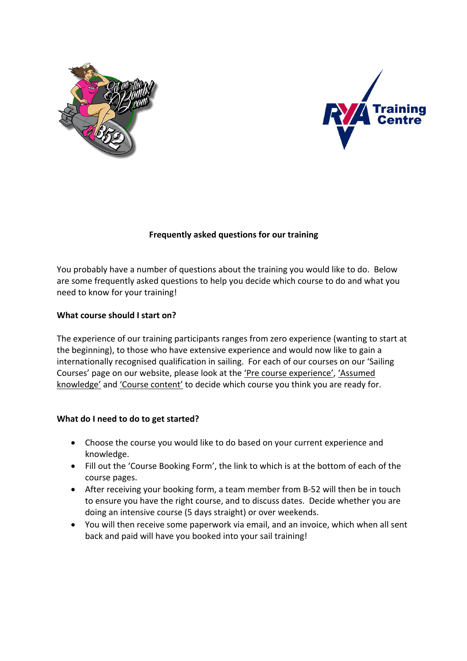



# **Frequently asked questions for our training**

You probably have a number of questions about the training you would like to do. Below are some frequently asked questions to help you decide which course to do and what you need to know for your training!

## **What course should I start on?**

The experience of our training participants ranges from zero experience (wanting to start at the beginning), to those who have extensive experience and would now like to gain a internationally recognised qualification in sailing. For each of our courses on our 'Sailing Courses' page on our website, please look at the 'Pre course experience', 'Assumed knowledge' and 'Course content' to decide which course you think you are ready for.

## **What do I need to do to get started?**

- Choose the course you would like to do based on your current experience and knowledge.
- Fill out the 'Course Booking Form', the link to which is at the bottom of each of the course pages.
- After receiving your booking form, a team member from B-52 will then be in touch to ensure you have the right course, and to discuss dates. Decide whether you are doing an intensive course (5 days straight) or over weekends.
- You will then receive some paperwork via email, and an invoice, which when all sent back and paid will have you booked into your sail training!